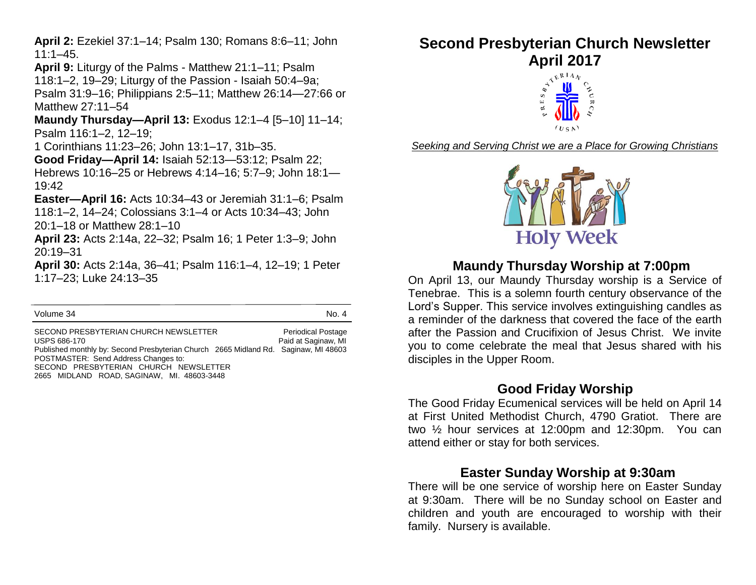**April 2:** Ezekiel 37:1–14; Psalm 130; Romans 8:6–11; John 11:1–45.

**April 9:** Liturgy of the Palms - Matthew 21:1–11; Psalm 118:1–2, 19–29; Liturgy of the Passion - Isaiah 50:4–9a; Psalm 31:9–16; Philippians 2:5–11; Matthew 26:14—27:66 or Matthew 27:11–54

**Maundy Thursday—April 13:** Exodus 12:1–4 [5–10] 11–14; Psalm 116:1–2, 12–19;

1 Corinthians 11:23–26; John 13:1–17, 31b–35.

**Good Friday—April 14:** Isaiah 52:13—53:12; Psalm 22; Hebrews 10:16–25 or Hebrews 4:14–16; 5:7–9; John 18:1— 19:42

**Easter—April 16:** Acts 10:34–43 or Jeremiah 31:1–6; Psalm 118:1–2, 14–24; Colossians 3:1–4 or Acts 10:34–43; John 20:1–18 or Matthew 28:1–10

**April 23:** Acts 2:14a, 22–32; Psalm 16; 1 Peter 1:3–9; John 20:19–31

**April 30:** Acts 2:14a, 36–41; Psalm 116:1–4, 12–19; 1 Peter 1:17–23; Luke 24:13–35

Volume 34 No. 4

SECOND PRESBYTERIAN CHURCH NEWSLETTER Periodical Postage USPS 686-170 **Paid at Saginaw, MI** Published monthly by: Second Presbyterian Church 2665 Midland Rd. Saginaw, MI 48603 POSTMASTER: Send Address Changes to: SECOND PRESBYTERIAN CHURCH NEWSLETTER 2665 MIDLAND ROAD, SAGINAW, MI. 48603-3448

# **Second Presbyterian Church Newsletter April 2017**



*Seeking and Serving Christ we are a Place for Growing Christians*



# **Maundy Thursday Worship at 7:00pm**

On April 13, our Maundy Thursday worship is a Service of Tenebrae. This is a solemn fourth century observance of the Lord's Supper. This service involves extinguishing candles as a reminder of the darkness that covered the face of the earth after the Passion and Crucifixion of Jesus Christ. We invite you to come celebrate the meal that Jesus shared with his disciples in the Upper Room.

## **Good Friday Worship**

The Good Friday Ecumenical services will be held on April 14 at First United Methodist Church, 4790 Gratiot. There are two ½ hour services at 12:00pm and 12:30pm. You can attend either or stay for both services.

# **Easter Sunday Worship at 9:30am**

There will be one service of worship here on Easter Sunday at 9:30am. There will be no Sunday school on Easter and children and youth are encouraged to worship with their family. Nursery is available.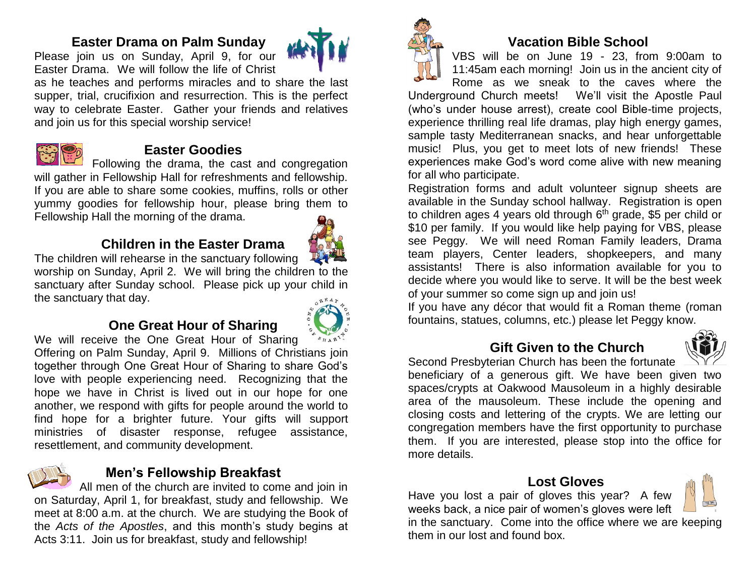# **Easter Drama on Palm Sunday**

Please join us on Sunday, April 9, for our Easter Drama. We will follow the life of Christ



as he teaches and performs miracles and to share the last supper, trial, crucifixion and resurrection. This is the perfect way to celebrate Easter. Gather your friends and relatives and join us for this special worship service!



#### **Easter Goodies**

Following the drama, the cast and congregation will gather in Fellowship Hall for refreshments and fellowship. If you are able to share some cookies, muffins, rolls or other yummy goodies for fellowship hour, please bring them to Fellowship Hall the morning of the drama.

# **Children in the Easter Drama**



The children will rehearse in the sanctuary following worship on Sunday, April 2. We will bring the children to the sanctuary after Sunday school. Please pick up your child in the sanctuary that day.

# **One Great Hour of Sharing**



We will receive the One Great Hour of Sharing Offering on Palm Sunday, April 9.Millions of Christians join together through One Great Hour of Sharing to share God's love with people experiencing need. Recognizing that the hope we have in Christ is lived out in our hope for one another, we respond with gifts for people around the world to find hope for a brighter future. Your gifts will support ministries of disaster response, refugee assistance, resettlement, and community development.



# **Men's Fellowship Breakfast**

All men of the church are invited to come and join in on Saturday, April 1, for breakfast, study and fellowship. We meet at 8:00 a.m. at the church. We are studying the Book of the *Acts of the Apostles*, and this month's study begins at Acts 3:11. Join us for breakfast, study and fellowship!



# **Vacation Bible School**

VBS will be on June 19 - 23, from 9:00am to 11:45am each morning! Join us in the ancient city of Rome as we sneak to the caves where the

Underground Church meets! We'll visit the Apostle Paul (who's under house arrest), create cool Bible-time projects, experience thrilling real life dramas, play high energy games, sample tasty Mediterranean snacks, and hear unforgettable music! Plus, you get to meet lots of new friends! These experiences make God's word come alive with new meaning for all who participate.

Registration forms and adult volunteer signup sheets are available in the Sunday school hallway. Registration is open to children ages 4 years old through 6<sup>th</sup> grade, \$5 per child or \$10 per family. If you would like help paying for VBS, please see Peggy. We will need Roman Family leaders, Drama team players, Center leaders, shopkeepers, and many assistants! There is also information available for you to decide where you would like to serve. It will be the best week of your summer so come sign up and join us!

If you have any décor that would fit a Roman theme (roman fountains, statues, columns, etc.) please let Peggy know.

# **Gift Given to the Church**



Second Presbyterian Church has been the fortunate beneficiary of a generous gift. We have been given two spaces/crypts at Oakwood Mausoleum in a highly desirable area of the mausoleum. These include the opening and closing costs and lettering of the crypts. We are letting our congregation members have the first opportunity to purchase them. If you are interested, please stop into the office for more details.

# **Lost Gloves**

Have you lost a pair of gloves this year? A few weeks back, a nice pair of women's gloves were left

in the sanctuary. Come into the office where we are keeping them in our lost and found box.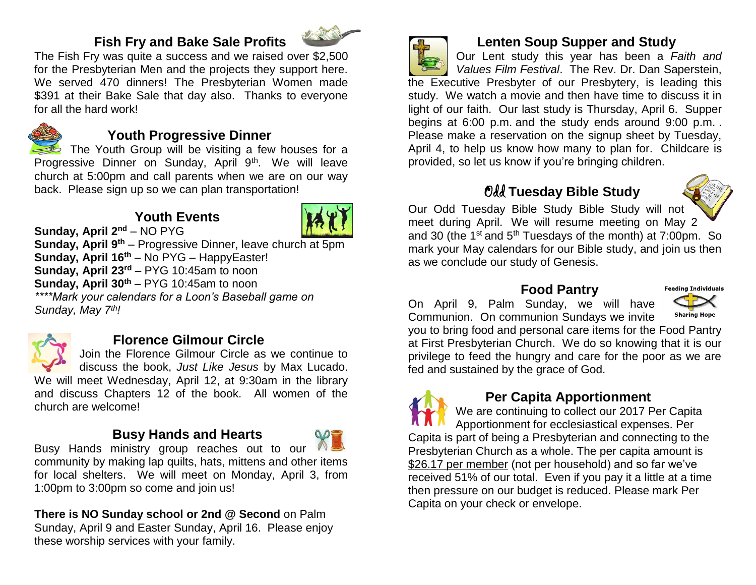# **Fish Fry and Bake Sale Profits**



The Fish Fry was quite a success and we raised over \$2,500 for the Presbyterian Men and the projects they support here. We served 470 dinners! The Presbyterian Women made \$391 at their Bake Sale that day also. Thanks to everyone for all the hard work!



# **Youth Progressive Dinner**

The Youth Group will be visiting a few houses for a Progressive Dinner on Sunday, April 9<sup>th</sup>. We will leave church at 5:00pm and call parents when we are on our way back. Please sign up so we can plan transportation!

# **Youth Events**



**Sunday, April 2nd** – NO PYG **Sunday, April 9th** – Progressive Dinner, leave church at 5pm **Sunday, April 16th** – No PYG – HappyEaster! **Sunday, April 23rd** – PYG 10:45am to noon **Sunday, April 30th** – PYG 10:45am to noon *\*\*\*\*Mark your calendars for a Loon's Baseball game on Sunday, May 7th!*



# **Florence Gilmour Circle**

Join the Florence Gilmour Circle as we continue to discuss the book, *Just Like Jesus* by Max Lucado. We will meet Wednesday, April 12, at 9:30am in the library and discuss Chapters 12 of the book. All women of the church are welcome!

## **Busy Hands and Hearts**



Busy Hands ministry group reaches out to our community by making lap quilts, hats, mittens and other items for local shelters. We will meet on Monday, April 3, from 1:00pm to 3:00pm so come and join us!

**There is NO Sunday school or 2nd @ Second** on Palm Sunday, April 9 and Easter Sunday, April 16. Please enjoy these worship services with your family.



# **Lenten Soup Supper and Study**

Our Lent study this year has been a *Faith and Values Film Festival*. The Rev. Dr. Dan Saperstein,

the Executive Presbyter of our Presbytery, is leading this study. We watch a movie and then have time to discuss it in light of our faith. Our last study is Thursday, April 6. Supper begins at 6:00 p.m. and the study ends around 9:00 p.m. . Please make a reservation on the signup sheet by Tuesday, April 4, to help us know how many to plan for. Childcare is provided, so let us know if you're bringing children.

# Odd **Tuesday Bible Study**



Our Odd Tuesday Bible Study Bible Study will not meet during April. We will resume meeting on May 2 and 30 (the 1<sup>st</sup> and 5<sup>th</sup> Tuesdays of the month) at 7:00pm. So mark your May calendars for our Bible study, and join us then as we conclude our study of Genesis.

#### **Food Pantry**

On April 9, Palm Sunday, we will have Communion. On communion Sundays we invite



you to bring food and personal care items for the Food Pantry at First Presbyterian Church. We do so knowing that it is our privilege to feed the hungry and care for the poor as we are fed and sustained by the grace of God.

# **Per Capita Apportionment**

We are continuing to collect our 2017 Per Capita Apportionment for ecclesiastical expenses. Per Capita is part of being a Presbyterian and connecting to the Presbyterian Church as a whole. The per capita amount is \$26.17 per member (not per household) and so far we've received 51% of our total. Even if you pay it a little at a time then pressure on our budget is reduced. Please mark Per Capita on your check or envelope.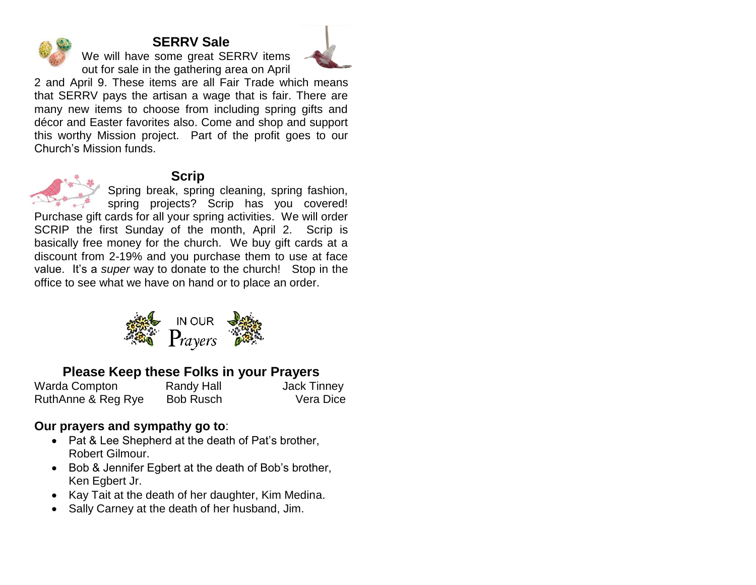# **SERRV Sale**

We will have some great SERRV items out for sale in the gathering area on April



2 and April 9. These items are all Fair Trade which means that SERRV pays the artisan a wage that is fair. There are many new items to choose from including spring gifts and décor and Easter favorites also. Come and shop and support this worthy Mission project. Part of the profit goes to our Church's Mission funds.



# **Scrip**

Spring break, spring cleaning, spring fashion, spring projects? Scrip has you covered!

Purchase gift cards for all your spring activities. We will order SCRIP the first Sunday of the month, April 2. Scrip is basically free money for the church. We buy gift cards at a discount from 2-19% and you purchase them to use at face value. It's a *super* way to donate to the church! Stop in the office to see what we have on hand or to place an order.



# **Please Keep these Folks in your Prayers**

Warda Compton Randy Hall **Nandy Hall** Jack Tinney RuthAnne & Reg Rye Bob Rusch Vera Dice

# **Our prayers and sympathy go to**:

- Pat & Lee Shepherd at the death of Pat's brother, Robert Gilmour.
- Bob & Jennifer Egbert at the death of Bob's brother, Ken Egbert Jr.
- Kay Tait at the death of her daughter, Kim Medina.
- Sally Carney at the death of her husband, Jim.